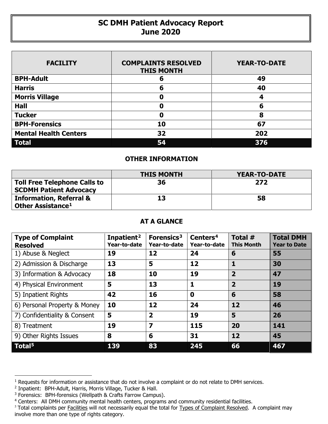## **SC DMH Patient Advocacy Report June 2020**

| <b>FACILITY</b>              | <b>COMPLAINTS RESOLVED</b><br><b>THIS MONTH</b> | <b>YEAR-TO-DATE</b> |
|------------------------------|-------------------------------------------------|---------------------|
| <b>BPH-Adult</b>             | 6                                               | 49                  |
| <b>Harris</b>                | 6                                               | 40                  |
| <b>Morris Village</b>        | Ω                                               | 4                   |
| <b>Hall</b>                  | Ω                                               | 6                   |
| <b>Tucker</b>                | Ω                                               | 8                   |
| <b>BPH-Forensics</b>         | 10                                              | 67                  |
| <b>Mental Health Centers</b> | 32                                              | 202                 |
| <b>Total</b>                 | 54                                              | 376                 |

## **OTHER INFORMATION**

|                                                                     | <b>THIS MONTH</b> | <b>YEAR-TO-DATE</b> |  |  |
|---------------------------------------------------------------------|-------------------|---------------------|--|--|
| <b>Toll Free Telephone Calls to</b>                                 | 36                | 272                 |  |  |
| <b>SCDMH Patient Advocacy</b>                                       |                   |                     |  |  |
|                                                                     |                   |                     |  |  |
| <b>Information, Referral &amp;</b><br>Other Assistance <sup>1</sup> | 13                | 58                  |  |  |

## **AT A GLANCE**

| <b>Type of Complaint</b><br><b>Resolved</b> | Inpatient <sup>2</sup><br>Year-to-date | Forensics <sup>3</sup><br>Year-to-date | Centers <sup>4</sup><br>Year-to-date | Total #<br><b>This Month</b> | <b>Total DMH</b><br><b>Year to Date</b> |
|---------------------------------------------|----------------------------------------|----------------------------------------|--------------------------------------|------------------------------|-----------------------------------------|
| 1) Abuse & Neglect                          | 19                                     | 12                                     | 24                                   | 6                            | 55                                      |
| 2) Admission & Discharge                    | 13                                     | 5                                      | 12                                   | 1                            | 30                                      |
| 3) Information & Advocacy                   | 18                                     | 10                                     | 19                                   | $\overline{2}$               | 47                                      |
| 4) Physical Environment                     | 5                                      | 13                                     | 1                                    | $\overline{2}$               | 19                                      |
| 5) Inpatient Rights                         | 42                                     | 16                                     | $\mathbf 0$                          | 6                            | 58                                      |
| 6) Personal Property & Money                | 10                                     | 12                                     | 24                                   | 12                           | 46                                      |
| 7) Confidentiality & Consent                | 5                                      | $\overline{\mathbf{2}}$                | 19                                   | 5                            | 26                                      |
| 8) Treatment                                | 19                                     | $\overline{\mathbf{z}}$                | 115                                  | 20                           | 141                                     |
| 9) Other Rights Issues                      | 8                                      | 6                                      | 31                                   | 12                           | 45                                      |
| Total <sup>5</sup>                          | 139                                    | 83                                     | 245                                  | 66                           | 467                                     |

 $\overline{a}$ 

<span id="page-0-0"></span><sup>&</sup>lt;sup>1</sup> Requests for information or assistance that do not involve a complaint or do not relate to DMH services.

<span id="page-0-1"></span><sup>2</sup> Inpatient: BPH-Adult, Harris, Morris Village, Tucker & Hall.

<span id="page-0-2"></span><sup>&</sup>lt;sup>3</sup> Forensics: BPH-forensics (Wellpath & Crafts Farrow Campus).

<span id="page-0-3"></span><sup>&</sup>lt;sup>4</sup> Centers: All DMH community mental health centers, programs and community residential facilities.

<span id="page-0-4"></span><sup>&</sup>lt;sup>5</sup> Total complaints per Facilities will not necessarily equal the total for Types of Complaint Resolved. A complaint may involve more than one type of rights category.